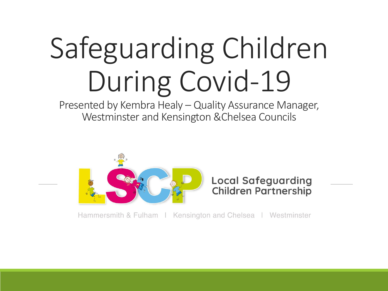# Safeguarding Children During Covid-19

Presented by Kembra Healy – Quality Assurance Manager, Westminster and Kensington &Chelsea Councils



Hammersmith & Fulham | Kensington and Chelsea | Westminster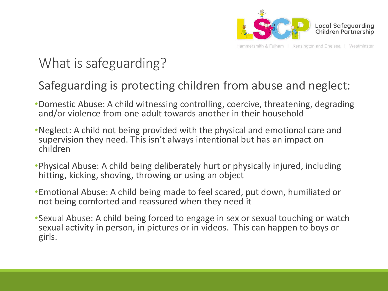

Hammersmith & Fulham | Kensington and Chelsea | Westminster

### What is safeguarding?

#### Safeguarding is protecting children from abuse and neglect:

- •Domestic Abuse: A child witnessing controlling, coercive, threatening, degrading and/or violence from one adult towards another in their household
- •Neglect: A child not being provided with the physical and emotional care and supervision they need. This isn't always intentional but has an impact on children
- •Physical Abuse: A child being deliberately hurt or physically injured, including hitting, kicking, shoving, throwing or using an object
- •Emotional Abuse: A child being made to feel scared, put down, humiliated or not being comforted and reassured when they need it
- •Sexual Abuse: A child being forced to engage in sex or sexual touching or watch sexual activity in person, in pictures or in videos. This can happen to boys or girls.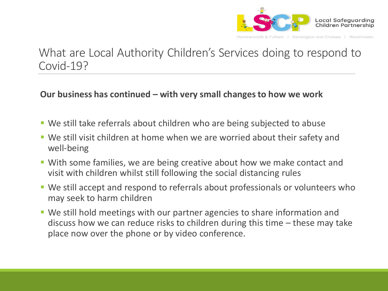

#### What are Local Authority Children's Services doing to respond to Covid-19?

#### **Our business has continued – with very small changes to how we work**

- We still take referrals about children who are being subjected to abuse
- We still visit children at home when we are worried about their safety and well-being
- With some families, we are being creative about how we make contact and visit with children whilst still following the social distancing rules
- We still accept and respond to referrals about professionals or volunteers who may seek to harm children
- We still hold meetings with our partner agencies to share information and discuss how we can reduce risks to children during this time – these may take place now over the phone or by video conference.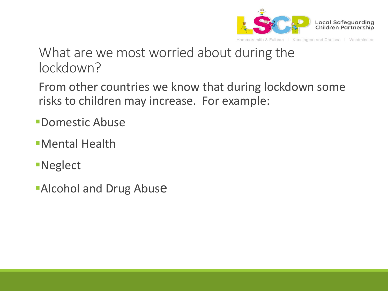

### What are we most worried about during the lockdown?

From other countries we know that during lockdown some risks to children may increase. For example:

- Domestic Abuse
- Mental Health
- Neglect
- **Alcohol and Drug Abuse**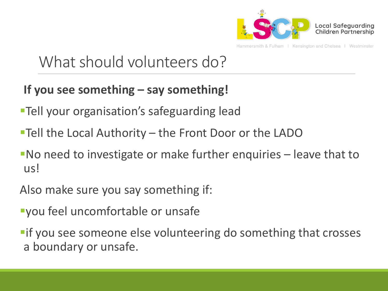

Hammersmith & Fulham I Kensington and Chelsea I Westminster

### What should volunteers do?

### **If you see something – say something!**

- **Tell your organisation's safeguarding lead**
- Tell the Local Authority the Front Door or the LADO
- No need to investigate or make further enquiries leave that to us!
- Also make sure you say something if:
- you feel uncomfortable or unsafe
- **Fif you see someone else volunteering do something that crosses** a boundary or unsafe.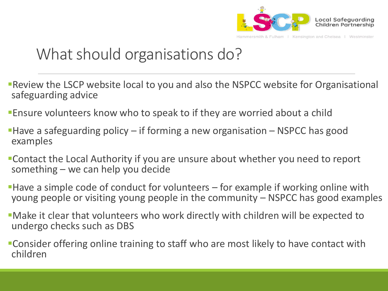

### What should organisations do?

- Review the LSCP website local to you and also the NSPCC website for Organisational safeguarding advice
- Ensure volunteers know who to speak to if they are worried about a child
- **Have a safeguarding policy if forming a new organisation NSPCC has good** examples
- Contact the Local Authority if you are unsure about whether you need to report something – we can help you decide
- Have a simple code of conduct for volunteers for example if working online with young people or visiting young people in the community – NSPCC has good examples
- Make it clear that volunteers who work directly with children will be expected to undergo checks such as DBS
- Consider offering online training to staff who are most likely to have contact with children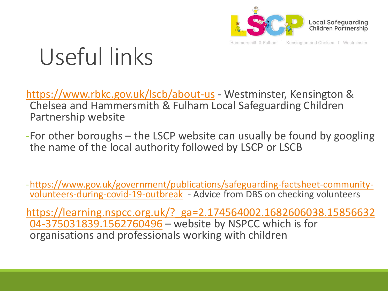

Hammersmith & Fulham | Kensington and Chelsea | Westminster

# Useful links

<https://www.rbkc.gov.uk/lscb/about-us> - Westminster, Kensington & Chelsea and Hammersmith & Fulham Local Safeguarding Children Partnership website

-For other boroughs – the LSCP website can usually be found by googling the name of the local authority followed by LSCP or LSCB

[-https://www.gov.uk/government/publications/safeguarding-factsheet-community](https://www.gov.uk/government/publications/safeguarding-factsheet-community-volunteers-during-covid-19-outbreak)volunteers-during-covid-19-outbreak - Advice from DBS on checking volunteers

[https://learning.nspcc.org.uk/?\\_ga=2.174564002.1682606038.15856632](https://learning.nspcc.org.uk/?_ga=2.174564002.1682606038.1585663204-375031839.1562760496) 04-375031839.1562760496 – website by NSPCC which is for organisations and professionals working with children